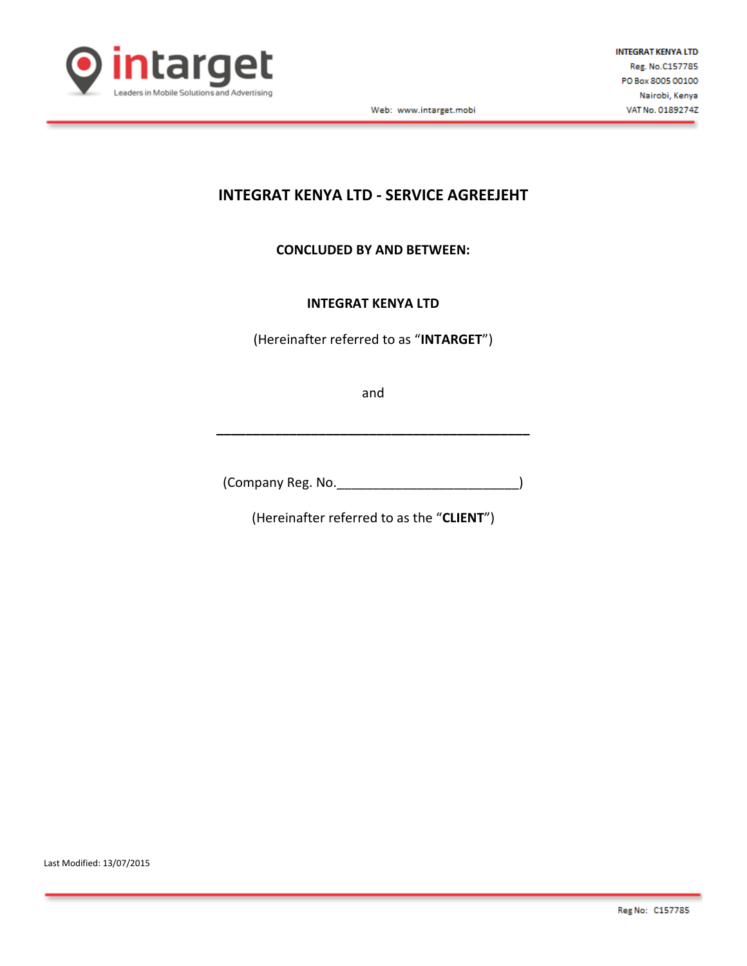

Web: www.intarget.mobi

# **INTEGRAT KENYA LTD - SERVICE AGREEJEHT**

## **CONCLUDED BY AND BETWEEN:**

## **INTEGRAT KENYA LTD**

(Hereinafter referred to as "**INTARGET**")

and

**\_\_\_\_\_\_\_\_\_\_\_\_\_\_\_\_\_\_\_\_\_\_\_\_\_\_\_\_\_\_\_\_\_\_\_\_\_\_\_\_\_\_\_**

(Company Reg. No.\_\_\_\_\_\_\_\_\_\_\_\_\_\_\_\_\_\_\_\_\_\_\_\_\_)

(Hereinafter referred to as the "**CLIENT**")

Last Modified: 13/07/2015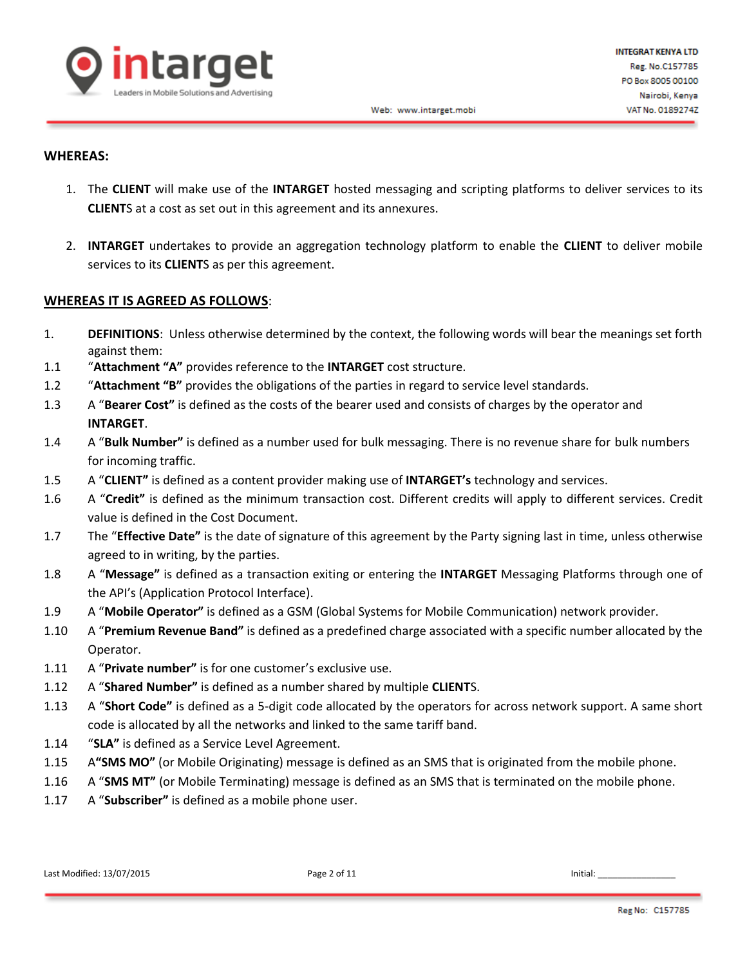

#### **WHEREAS:**

- 1. The **CLIENT** will make use of the **INTARGET** hosted messaging and scripting platforms to deliver services to its **CLIENT**S at a cost as set out in this agreement and its annexures.
- 2. **INTARGET** undertakes to provide an aggregation technology platform to enable the **CLIENT** to deliver mobile services to its **CLIENT**S as per this agreement.

## **WHEREAS IT IS AGREED AS FOLLOWS**:

- 1. **DEFINITIONS**: Unless otherwise determined by the context, the following words will bear the meanings set forth against them:
- 1.1 "**Attachment "A"** provides reference to the **INTARGET** cost structure.
- 1.2 "**Attachment "B"** provides the obligations of the parties in regard to service level standards.
- 1.3 A "**Bearer Cost"** is defined as the costs of the bearer used and consists of charges by the operator and **INTARGET**.
- 1.4 A "**Bulk Number"** is defined as a number used for bulk messaging. There is no revenue share for bulk numbers for incoming traffic.
- 1.5 A "**CLIENT"** is defined as a content provider making use of **INTARGET's** technology and services.
- 1.6 A "**Credit"** is defined as the minimum transaction cost. Different credits will apply to different services. Credit value is defined in the Cost Document.
- 1.7 The "**Effective Date"** is the date of signature of this agreement by the Party signing last in time, unless otherwise agreed to in writing, by the parties.
- 1.8 A "**Message"** is defined as a transaction exiting or entering the **INTARGET** Messaging Platforms through one of the API's (Application Protocol Interface).
- 1.9 A "**Mobile Operator"** is defined as a GSM (Global Systems for Mobile Communication) network provider.
- 1.10 A "**Premium Revenue Band"** is defined as a predefined charge associated with a specific number allocated by the Operator.
- 1.11 A "**Private number"** is for one customer's exclusive use.
- 1.12 A "**Shared Number"** is defined as a number shared by multiple **CLIENT**S.
- 1.13 A "**Short Code"** is defined as a 5-digit code allocated by the operators for across network support. A same short code is allocated by all the networks and linked to the same tariff band.
- 1.14 "**SLA"** is defined as a Service Level Agreement.
- 1.15 A**"SMS MO"** (or Mobile Originating) message is defined as an SMS that is originated from the mobile phone.
- 1.16 A "**SMS MT"** (or Mobile Terminating) message is defined as an SMS that is terminated on the mobile phone.
- 1.17 A "**Subscriber"** is defined as a mobile phone user.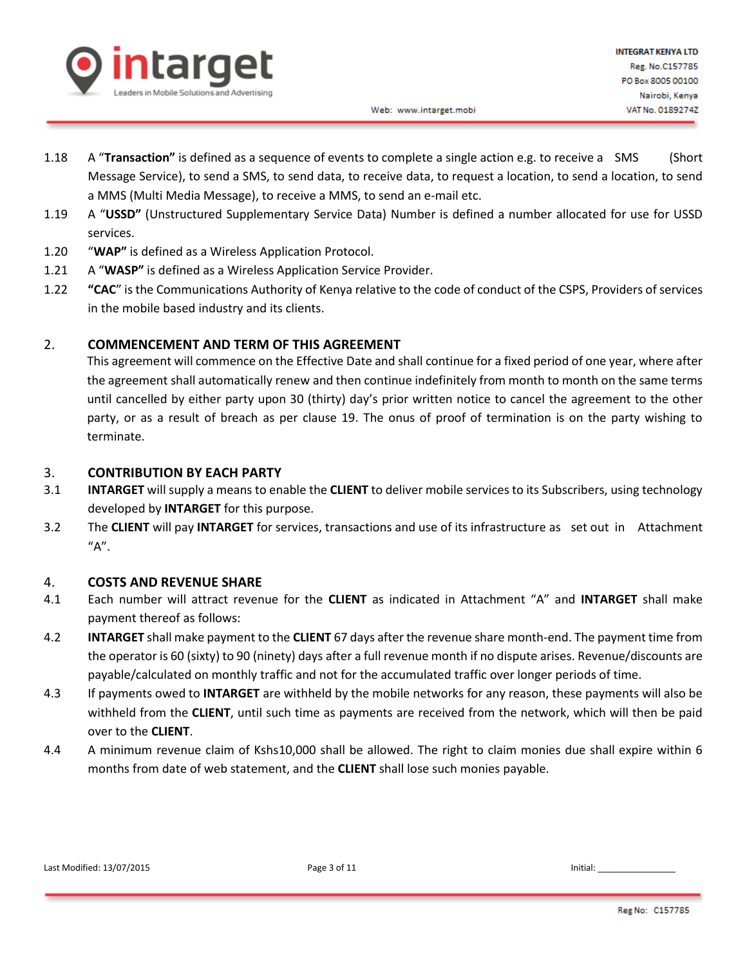

- 1.18 A "**Transaction"** is defined as a sequence of events to complete a single action e.g. to receive a SMS (Short Message Service), to send a SMS, to send data, to receive data, to request a location, to send a location, to send a MMS (Multi Media Message), to receive a MMS, to send an e-mail etc.
- 1.19 A "**USSD"** (Unstructured Supplementary Service Data) Number is defined a number allocated for use for USSD services.
- 1.20 "**WAP"** is defined as a Wireless Application Protocol.
- 1.21 A "**WASP"** is defined as a Wireless Application Service Provider.
- 1.22 **"CAC**" is the Communications Authority of Kenya relative to the code of conduct of the CSPS, Providers of services in the mobile based industry and its clients.

## 2. **COMMENCEMENT AND TERM OF THIS AGREEMENT**

This agreement will commence on the Effective Date and shall continue for a fixed period of one year, where after the agreement shall automatically renew and then continue indefinitely from month to month on the same terms until cancelled by either party upon 30 (thirty) day's prior written notice to cancel the agreement to the other party, or as a result of breach as per clause 19. The onus of proof of termination is on the party wishing to terminate.

## 3. **CONTRIBUTION BY EACH PARTY**

- 3.1 **INTARGET** will supply a means to enable the **CLIENT** to deliver mobile services to its Subscribers, using technology developed by **INTARGET** for this purpose.
- 3.2 The **CLIENT** will pay **INTARGET** for services, transactions and use of its infrastructure as set out in Attachment  $"A"$ .

## 4. **COSTS AND REVENUE SHARE**

- 4.1 Each number will attract revenue for the **CLIENT** as indicated in Attachment "A" and **INTARGET** shall make payment thereof as follows:
- 4.2 **INTARGET** shall make payment to the **CLIENT** 67 days after the revenue share month-end. The payment time from the operator is 60 (sixty) to 90 (ninety) days after a full revenue month if no dispute arises. Revenue/discounts are payable/calculated on monthly traffic and not for the accumulated traffic over longer periods of time.
- 4.3 If payments owed to **INTARGET** are withheld by the mobile networks for any reason, these payments will also be withheld from the **CLIENT**, until such time as payments are received from the network, which will then be paid over to the **CLIENT**.
- 4.4 A minimum revenue claim of Kshs10,000 shall be allowed. The right to claim monies due shall expire within 6 months from date of web statement, and the **CLIENT** shall lose such monies payable.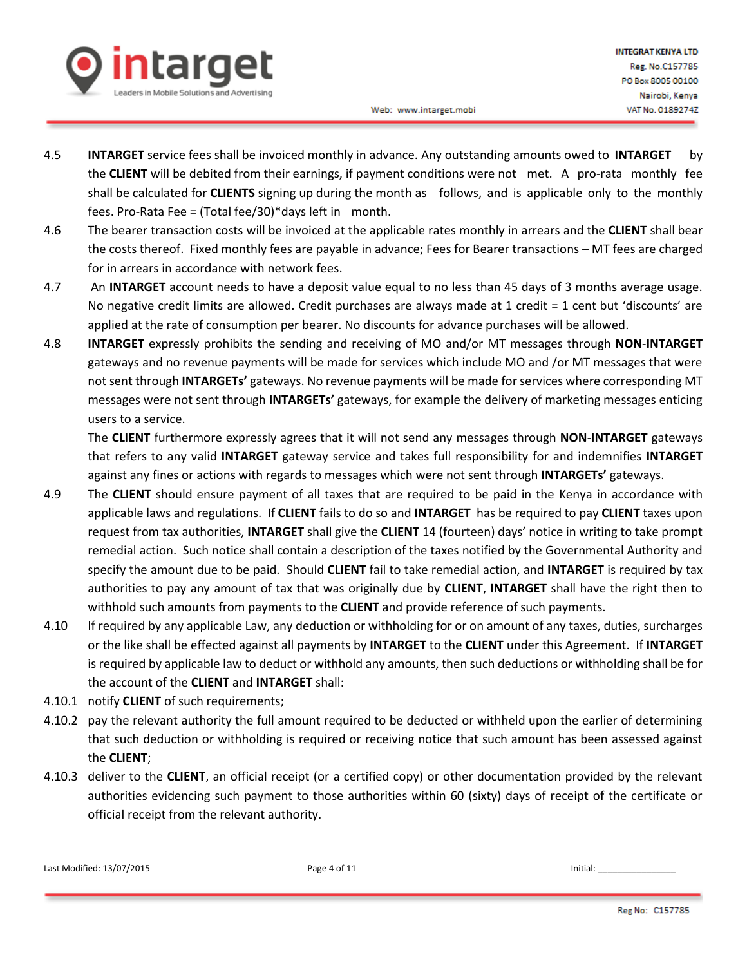

- 4.5 **INTARGET** service fees shall be invoiced monthly in advance. Any outstanding amounts owed to **INTARGET** by the **CLIENT** will be debited from their earnings, if payment conditions were not met. A pro-rata monthly fee shall be calculated for **CLIENTS** signing up during the month as follows, and is applicable only to the monthly fees. Pro-Rata Fee = (Total fee/30)\*days left in month.
- 4.6 The bearer transaction costs will be invoiced at the applicable rates monthly in arrears and the **CLIENT** shall bear the costs thereof. Fixed monthly fees are payable in advance; Fees for Bearer transactions – MT fees are charged for in arrears in accordance with network fees.
- 4.7 An **INTARGET** account needs to have a deposit value equal to no less than 45 days of 3 months average usage. No negative credit limits are allowed. Credit purchases are always made at 1 credit = 1 cent but 'discounts' are applied at the rate of consumption per bearer. No discounts for advance purchases will be allowed.
- 4.8 **INTARGET** expressly prohibits the sending and receiving of MO and/or MT messages through **NON**-**INTARGET** gateways and no revenue payments will be made for services which include MO and /or MT messages that were not sent through **INTARGETs'** gateways. No revenue payments will be made for services where corresponding MT messages were not sent through **INTARGETs'** gateways, for example the delivery of marketing messages enticing users to a service.

The **CLIENT** furthermore expressly agrees that it will not send any messages through **NON**-**INTARGET** gateways that refers to any valid **INTARGET** gateway service and takes full responsibility for and indemnifies **INTARGET** against any fines or actions with regards to messages which were not sent through **INTARGETs'** gateways.

- 4.9 The **CLIENT** should ensure payment of all taxes that are required to be paid in the Kenya in accordance with applicable laws and regulations. If **CLIENT** fails to do so and **INTARGET** has be required to pay **CLIENT** taxes upon request from tax authorities, **INTARGET** shall give the **CLIENT** 14 (fourteen) days' notice in writing to take prompt remedial action. Such notice shall contain a description of the taxes notified by the Governmental Authority and specify the amount due to be paid. Should **CLIENT** fail to take remedial action, and **INTARGET** is required by tax authorities to pay any amount of tax that was originally due by **CLIENT**, **INTARGET** shall have the right then to withhold such amounts from payments to the **CLIENT** and provide reference of such payments.
- 4.10 If required by any applicable Law, any deduction or withholding for or on amount of any taxes, duties, surcharges or the like shall be effected against all payments by **INTARGET** to the **CLIENT** under this Agreement. If **INTARGET** is required by applicable law to deduct or withhold any amounts, then such deductions or withholding shall be for the account of the **CLIENT** and **INTARGET** shall:
- 4.10.1 notify **CLIENT** of such requirements;
- 4.10.2 pay the relevant authority the full amount required to be deducted or withheld upon the earlier of determining that such deduction or withholding is required or receiving notice that such amount has been assessed against the **CLIENT**;
- 4.10.3 deliver to the **CLIENT**, an official receipt (or a certified copy) or other documentation provided by the relevant authorities evidencing such payment to those authorities within 60 (sixty) days of receipt of the certificate or official receipt from the relevant authority.

```
Last Modified: 13/07/2015 Page 4 of 11 Initial: ________________
```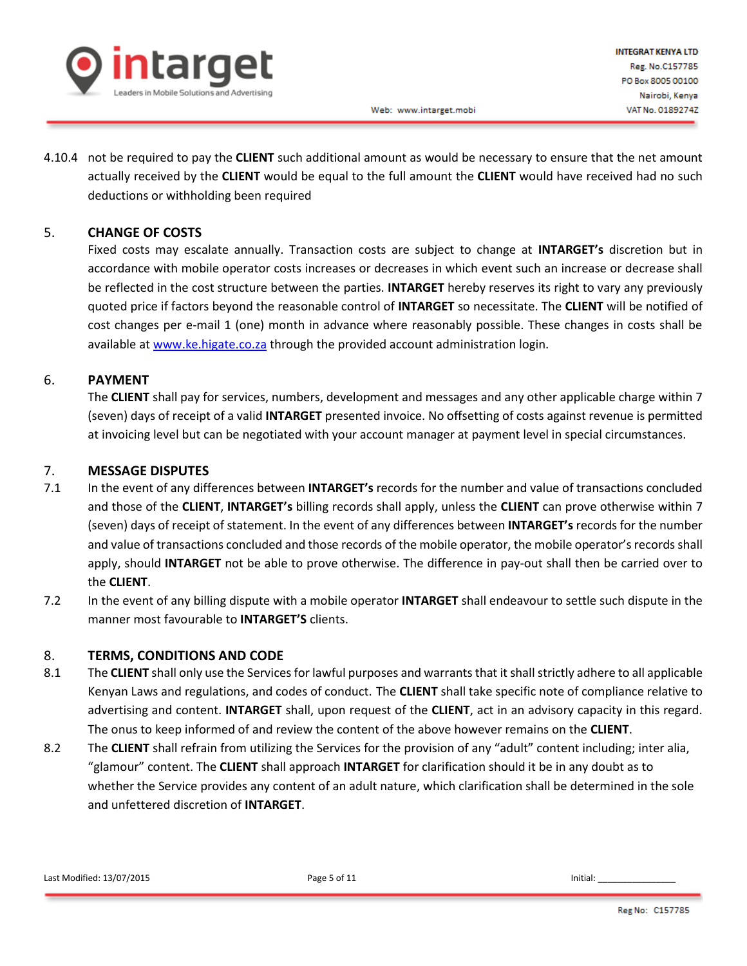

4.10.4 not be required to pay the **CLIENT** such additional amount as would be necessary to ensure that the net amount actually received by the **CLIENT** would be equal to the full amount the **CLIENT** would have received had no such deductions or withholding been required

## 5. **CHANGE OF COSTS**

Fixed costs may escalate annually. Transaction costs are subject to change at **INTARGET's** discretion but in accordance with mobile operator costs increases or decreases in which event such an increase or decrease shall be reflected in the cost structure between the parties. **INTARGET** hereby reserves its right to vary any previously quoted price if factors beyond the reasonable control of **INTARGET** so necessitate. The **CLIENT** will be notified of cost changes per e-mail 1 (one) month in advance where reasonably possible. These changes in costs shall be available a[t www.ke.higate.co.za](http://www.ke.higate.co.za/) through the provided account administration login.

#### 6. **PAYMENT**

The **CLIENT** shall pay for services, numbers, development and messages and any other applicable charge within 7 (seven) days of receipt of a valid **INTARGET** presented invoice. No offsetting of costs against revenue is permitted at invoicing level but can be negotiated with your account manager at payment level in special circumstances.

#### 7. **MESSAGE DISPUTES**

- 7.1 In the event of any differences between **INTARGET's** records for the number and value of transactions concluded and those of the **CLIENT**, **INTARGET's** billing records shall apply, unless the **CLIENT** can prove otherwise within 7 (seven) days of receipt of statement. In the event of any differences between **INTARGET's** records for the number and value of transactions concluded and those records of the mobile operator, the mobile operator's records shall apply, should **INTARGET** not be able to prove otherwise. The difference in pay-out shall then be carried over to the **CLIENT**.
- 7.2 In the event of any billing dispute with a mobile operator **INTARGET** shall endeavour to settle such dispute in the manner most favourable to **INTARGET'S** clients.

#### 8. **TERMS, CONDITIONS AND CODE**

- 8.1 The **CLIENT** shall only use the Services for lawful purposes and warrants that it shall strictly adhere to all applicable Kenyan Laws and regulations, and codes of conduct. The **CLIENT** shall take specific note of compliance relative to advertising and content. **INTARGET** shall, upon request of the **CLIENT**, act in an advisory capacity in this regard. The onus to keep informed of and review the content of the above however remains on the **CLIENT**.
- 8.2 The **CLIENT** shall refrain from utilizing the Services for the provision of any "adult" content including; inter alia, "glamour" content. The **CLIENT** shall approach **INTARGET** for clarification should it be in any doubt as to whether the Service provides any content of an adult nature, which clarification shall be determined in the sole and unfettered discretion of **INTARGET**.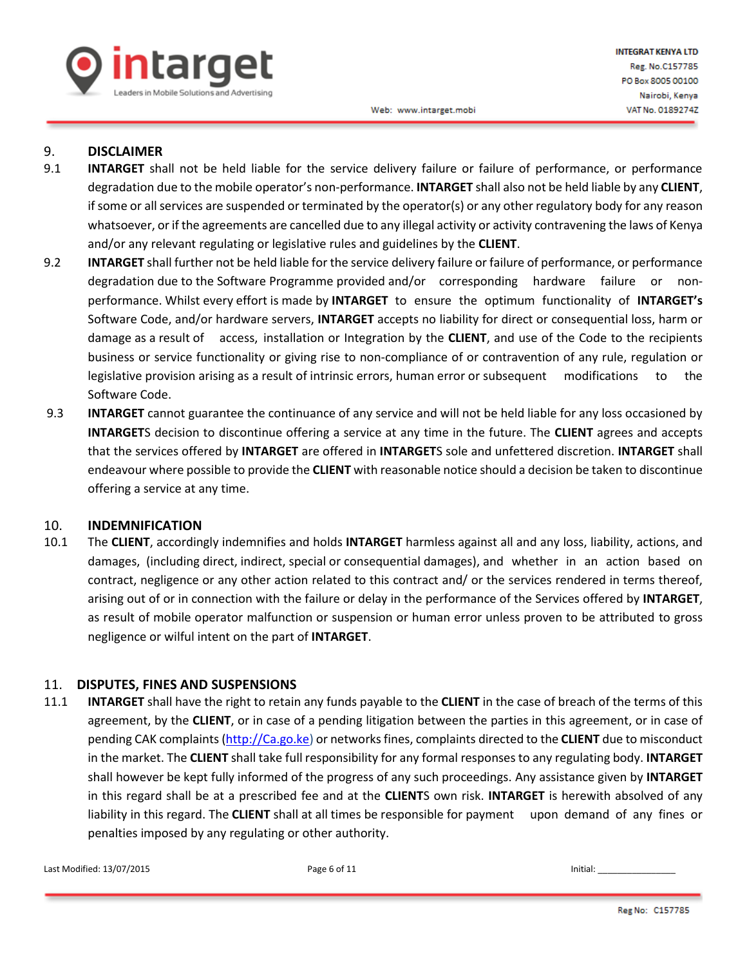

Web: www.intarget.mobi

## 9. **DISCLAIMER**

- 9.1 **INTARGET** shall not be held liable for the service delivery failure or failure of performance, or performance degradation due to the mobile operator's non-performance. **INTARGET** shall also not be held liable by any **CLIENT**, if some or all services are suspended or terminated by the operator(s) or any other regulatory body for any reason whatsoever, or if the agreements are cancelled due to any illegal activity or activity contravening the laws of Kenya and/or any relevant regulating or legislative rules and guidelines by the **CLIENT**.
- 9.2 **INTARGET** shall further not be held liable for the service delivery failure or failure of performance, or performance degradation due to the Software Programme provided and/or corresponding hardware failure or nonperformance. Whilst every effort is made by **INTARGET** to ensure the optimum functionality of **INTARGET's** Software Code, and/or hardware servers, **INTARGET** accepts no liability for direct or consequential loss, harm or damage as a result of access, installation or Integration by the **CLIENT**, and use of the Code to the recipients business or service functionality or giving rise to non-compliance of or contravention of any rule, regulation or legislative provision arising as a result of intrinsic errors, human error or subsequent modifications to the Software Code.
- 9.3 **INTARGET** cannot guarantee the continuance of any service and will not be held liable for any loss occasioned by **INTARGET**S decision to discontinue offering a service at any time in the future. The **CLIENT** agrees and accepts that the services offered by **INTARGET** are offered in **INTARGET**S sole and unfettered discretion. **INTARGET** shall endeavour where possible to provide the **CLIENT** with reasonable notice should a decision be taken to discontinue offering a service at any time.

#### 10. **INDEMNIFICATION**

10.1 The **CLIENT**, accordingly indemnifies and holds **INTARGET** harmless against all and any loss, liability, actions, and damages, (including direct, indirect, special or consequential damages), and whether in an action based on contract, negligence or any other action related to this contract and/ or the services rendered in terms thereof, arising out of or in connection with the failure or delay in the performance of the Services offered by **INTARGET**, as result of mobile operator malfunction or suspension or human error unless proven to be attributed to gross negligence or wilful intent on the part of **INTARGET**.

## 11. **DISPUTES, FINES AND SUSPENSIONS**

11.1 **INTARGET** shall have the right to retain any funds payable to the **CLIENT** in the case of breach of the terms of this agreement, by the **CLIENT**, or in case of a pending litigation between the parties in this agreement, or in case of pending CAK complaints [\(http://Ca.go.ke\)](http://ca.go.ke/) or networks fines, complaints directed to the **CLIENT** due to misconduct in the market. The **CLIENT** shall take full responsibility for any formal responses to any regulating body. **INTARGET** shall however be kept fully informed of the progress of any such proceedings. Any assistance given by **INTARGET** in this regard shall be at a prescribed fee and at the **CLIENT**S own risk. **INTARGET** is herewith absolved of any liability in this regard. The **CLIENT** shall at all times be responsible for payment upon demand of any fines or penalties imposed by any regulating or other authority.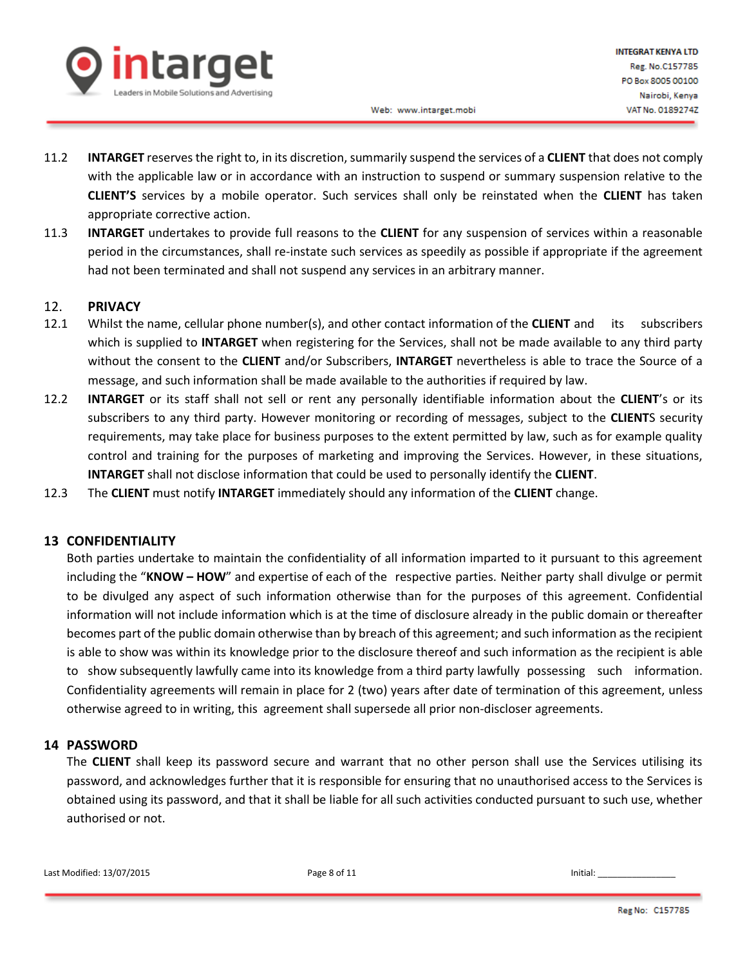

- 11.2 **INTARGET** reserves the right to, in its discretion, summarily suspend the services of a **CLIENT** that does not comply with the applicable law or in accordance with an instruction to suspend or summary suspension relative to the **CLIENT'S** services by a mobile operator. Such services shall only be reinstated when the **CLIENT** has taken appropriate corrective action.
- 11.3 **INTARGET** undertakes to provide full reasons to the **CLIENT** for any suspension of services within a reasonable period in the circumstances, shall re-instate such services as speedily as possible if appropriate if the agreement had not been terminated and shall not suspend any services in an arbitrary manner.

#### 12. **PRIVACY**

- 12.1 Whilst the name, cellular phone number(s), and other contact information of the **CLIENT** and its subscribers which is supplied to **INTARGET** when registering for the Services, shall not be made available to any third party without the consent to the **CLIENT** and/or Subscribers, **INTARGET** nevertheless is able to trace the Source of a message, and such information shall be made available to the authorities if required by law.
- 12.2 **INTARGET** or its staff shall not sell or rent any personally identifiable information about the **CLIENT**'s or its subscribers to any third party. However monitoring or recording of messages, subject to the **CLIENT**S security requirements, may take place for business purposes to the extent permitted by law, such as for example quality control and training for the purposes of marketing and improving the Services. However, in these situations, **INTARGET** shall not disclose information that could be used to personally identify the **CLIENT**.
- 12.3 The **CLIENT** must notify **INTARGET** immediately should any information of the **CLIENT** change.

#### **13 CONFIDENTIALITY**

Both parties undertake to maintain the confidentiality of all information imparted to it pursuant to this agreement including the "**KNOW – HOW**" and expertise of each of the respective parties. Neither party shall divulge or permit to be divulged any aspect of such information otherwise than for the purposes of this agreement. Confidential information will not include information which is at the time of disclosure already in the public domain or thereafter becomes part of the public domain otherwise than by breach of this agreement; and such information as the recipient is able to show was within its knowledge prior to the disclosure thereof and such information as the recipient is able to show subsequently lawfully came into its knowledge from a third party lawfully possessing such information. Confidentiality agreements will remain in place for 2 (two) years after date of termination of this agreement, unless otherwise agreed to in writing, this agreement shall supersede all prior non-discloser agreements.

#### **14 PASSWORD**

The **CLIENT** shall keep its password secure and warrant that no other person shall use the Services utilising its password, and acknowledges further that it is responsible for ensuring that no unauthorised access to the Services is obtained using its password, and that it shall be liable for all such activities conducted pursuant to such use, whether authorised or not.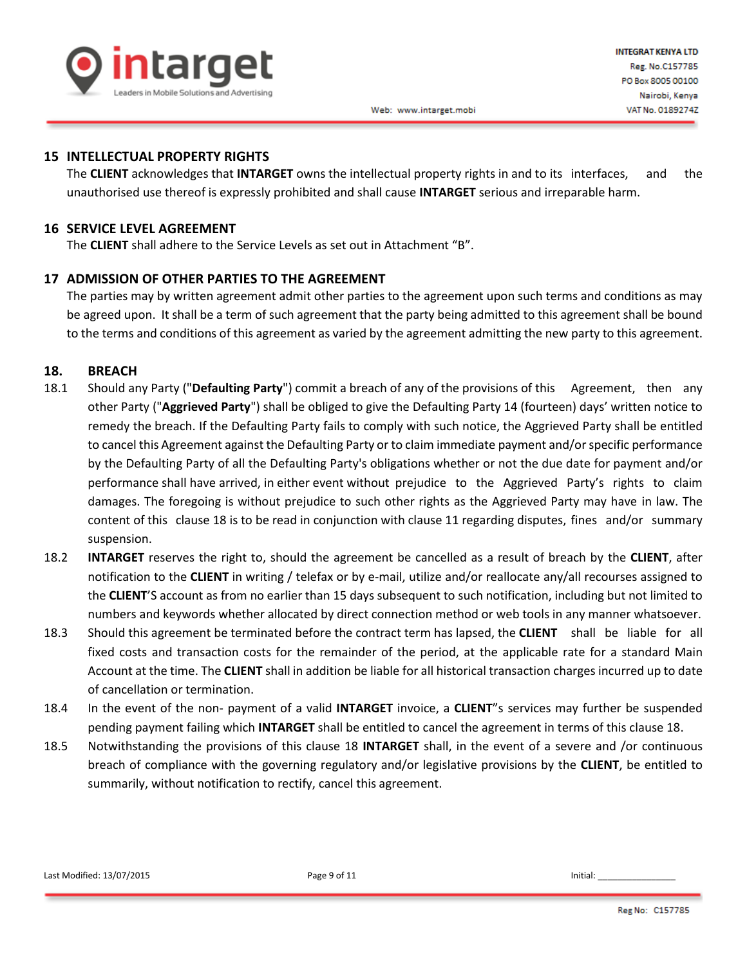

### **15 INTELLECTUAL PROPERTY RIGHTS**

The **CLIENT** acknowledges that **INTARGET** owns the intellectual property rights in and to its interfaces, and the unauthorised use thereof is expressly prohibited and shall cause **INTARGET** serious and irreparable harm.

#### **16 SERVICE LEVEL AGREEMENT**

The **CLIENT** shall adhere to the Service Levels as set out in Attachment "B".

## **17 ADMISSION OF OTHER PARTIES TO THE AGREEMENT**

The parties may by written agreement admit other parties to the agreement upon such terms and conditions as may be agreed upon. It shall be a term of such agreement that the party being admitted to this agreement shall be bound to the terms and conditions of this agreement as varied by the agreement admitting the new party to this agreement.

### **18. BREACH**

- 18.1 Should any Party ("**Defaulting Party**") commit a breach of any of the provisions of this Agreement, then any other Party ("**Aggrieved Party**") shall be obliged to give the Defaulting Party 14 (fourteen) days' written notice to remedy the breach. If the Defaulting Party fails to comply with such notice, the Aggrieved Party shall be entitled to cancel this Agreement against the Defaulting Party or to claim immediate payment and/or specific performance by the Defaulting Party of all the Defaulting Party's obligations whether or not the due date for payment and/or performance shall have arrived, in either event without prejudice to the Aggrieved Party's rights to claim damages. The foregoing is without prejudice to such other rights as the Aggrieved Party may have in law. The content of this clause 18 is to be read in conjunction with clause 11 regarding disputes, fines and/or summary suspension.
- 18.2 **INTARGET** reserves the right to, should the agreement be cancelled as a result of breach by the **CLIENT**, after notification to the **CLIENT** in writing / telefax or by e-mail, utilize and/or reallocate any/all recourses assigned to the **CLIENT**'S account as from no earlier than 15 days subsequent to such notification, including but not limited to numbers and keywords whether allocated by direct connection method or web tools in any manner whatsoever.
- 18.3 Should this agreement be terminated before the contract term has lapsed, the **CLIENT** shall be liable for all fixed costs and transaction costs for the remainder of the period, at the applicable rate for a standard Main Account at the time. The **CLIENT** shall in addition be liable for all historical transaction charges incurred up to date of cancellation or termination.
- 18.4 In the event of the non- payment of a valid **INTARGET** invoice, a **CLIENT**"s services may further be suspended pending payment failing which **INTARGET** shall be entitled to cancel the agreement in terms of this clause 18.
- 18.5 Notwithstanding the provisions of this clause 18 **INTARGET** shall, in the event of a severe and /or continuous breach of compliance with the governing regulatory and/or legislative provisions by the **CLIENT**, be entitled to summarily, without notification to rectify, cancel this agreement.

Last Modified:  $13/07/2015$  Page 9 of 11 **Page 10** and  $\overline{a}$  and  $\overline{b}$  and  $\overline{c}$  and  $\overline{d}$  and  $\overline{b}$  and  $\overline{b}$  and  $\overline{b}$  and  $\overline{b}$  and  $\overline{b}$  and  $\overline{b}$  and  $\overline{b}$  and  $\overline{b}$  and  $\overline{b}$  a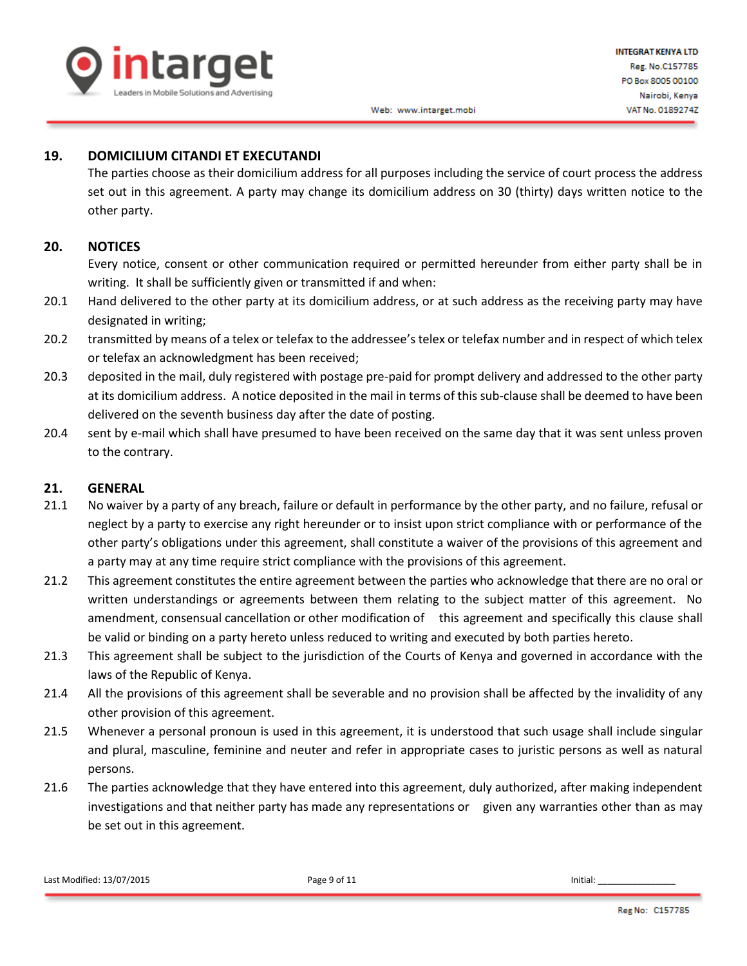

## **19. DOMICILIUM CITANDI ET EXECUTANDI**

The parties choose as their domicilium address for all purposes including the service of court process the address set out in this agreement. A party may change its domicilium address on 30 (thirty) days written notice to the other party.

### **20. NOTICES**

Every notice, consent or other communication required or permitted hereunder from either party shall be in writing. It shall be sufficiently given or transmitted if and when:

- 20.1 Hand delivered to the other party at its domicilium address, or at such address as the receiving party may have designated in writing;
- 20.2 transmitted by means of a telex or telefax to the addressee's telex or telefax number and in respect of which telex or telefax an acknowledgment has been received;
- 20.3 deposited in the mail, duly registered with postage pre-paid for prompt delivery and addressed to the other party at its domicilium address. A notice deposited in the mail in terms of this sub-clause shall be deemed to have been delivered on the seventh business day after the date of posting.
- 20.4 sent by e-mail which shall have presumed to have been received on the same day that it was sent unless proven to the contrary.

#### **21. GENERAL**

- 21.1 No waiver by a party of any breach, failure or default in performance by the other party, and no failure, refusal or neglect by a party to exercise any right hereunder or to insist upon strict compliance with or performance of the other party's obligations under this agreement, shall constitute a waiver of the provisions of this agreement and a party may at any time require strict compliance with the provisions of this agreement.
- 21.2 This agreement constitutes the entire agreement between the parties who acknowledge that there are no oral or written understandings or agreements between them relating to the subject matter of this agreement. No amendment, consensual cancellation or other modification of this agreement and specifically this clause shall be valid or binding on a party hereto unless reduced to writing and executed by both parties hereto.
- 21.3 This agreement shall be subject to the jurisdiction of the Courts of Kenya and governed in accordance with the laws of the Republic of Kenya.
- 21.4 All the provisions of this agreement shall be severable and no provision shall be affected by the invalidity of any other provision of this agreement.
- 21.5 Whenever a personal pronoun is used in this agreement, it is understood that such usage shall include singular and plural, masculine, feminine and neuter and refer in appropriate cases to juristic persons as well as natural persons.
- 21.6 The parties acknowledge that they have entered into this agreement, duly authorized, after making independent investigations and that neither party has made any representations or given any warranties other than as may be set out in this agreement.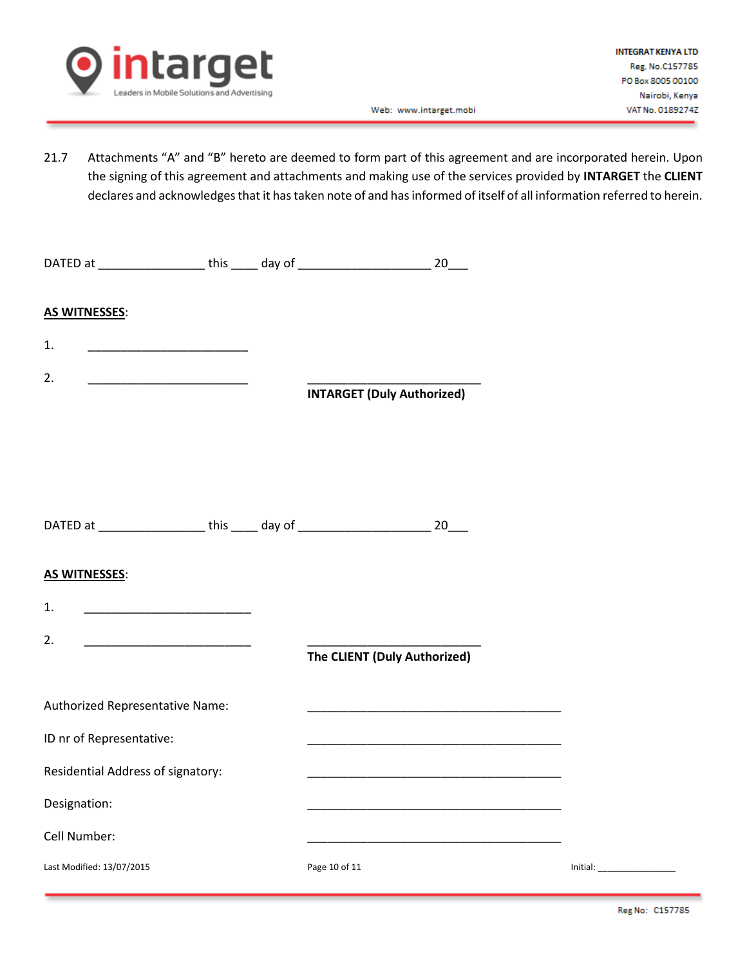

21.7 Attachments "A" and "B" hereto are deemed to form part of this agreement and are incorporated herein. Upon the signing of this agreement and attachments and making use of the services provided by **INTARGET** the **CLIENT** declares and acknowledges that it has taken note of and has informed of itself of all information referred to herein.

| DATED at _____________________ this ______ day of ______________________________ 20____ |  |                                   |                                                                                                                               |                                      |
|-----------------------------------------------------------------------------------------|--|-----------------------------------|-------------------------------------------------------------------------------------------------------------------------------|--------------------------------------|
| <b>AS WITNESSES:</b>                                                                    |  |                                   |                                                                                                                               |                                      |
| 1.                                                                                      |  |                                   |                                                                                                                               |                                      |
| 2.                                                                                      |  | <b>INTARGET (Duly Authorized)</b> |                                                                                                                               |                                      |
|                                                                                         |  |                                   |                                                                                                                               |                                      |
| DATED at ____________________this ______ day of ________________________________ 20____ |  |                                   |                                                                                                                               |                                      |
| <b>AS WITNESSES:</b>                                                                    |  |                                   |                                                                                                                               |                                      |
| 1.<br>2.                                                                                |  | The CLIENT (Duly Authorized)      |                                                                                                                               |                                      |
| Authorized Representative Name:                                                         |  |                                   | <u> 1980 - Johann John Stone, market fransk politiker (d. 1980)</u>                                                           |                                      |
| ID nr of Representative:                                                                |  |                                   | <u> 1989 - Johann John Stone, mars et al. 1989 - John Stone, mars et al. 1989 - John Stone, mars et al. 1989 - John Stone</u> |                                      |
| Residential Address of signatory:                                                       |  |                                   |                                                                                                                               |                                      |
| Designation:                                                                            |  |                                   |                                                                                                                               |                                      |
| Cell Number:                                                                            |  |                                   |                                                                                                                               |                                      |
| Last Modified: 13/07/2015                                                               |  | Page 10 of 11                     |                                                                                                                               | Initial: <u>____________________</u> |